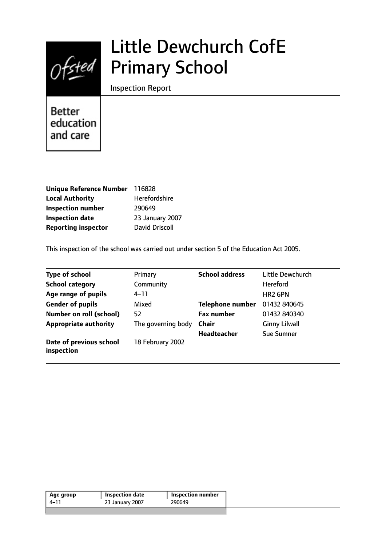

# Little Dewchurch CofE Primary School

Inspection Report

**Better** education and care

| Unique Reference Number 116828 |                       |
|--------------------------------|-----------------------|
| <b>Local Authority</b>         | Herefordshire         |
| <b>Inspection number</b>       | 290649                |
| <b>Inspection date</b>         | 23 January 2007       |
| <b>Reporting inspector</b>     | <b>David Driscoll</b> |

This inspection of the school was carried out under section 5 of the Education Act 2005.

| <b>Type of school</b>                 | Primary            | <b>School address</b>   | Little Dewchurch     |
|---------------------------------------|--------------------|-------------------------|----------------------|
| <b>School category</b>                | Community          |                         | <b>Hereford</b>      |
| Age range of pupils                   | 4–11               |                         | HR <sub>2</sub> 6PN  |
| <b>Gender of pupils</b>               | Mixed              | <b>Telephone number</b> | 01432 840645         |
| <b>Number on roll (school)</b>        | 52                 | <b>Fax number</b>       | 01432 840340         |
| <b>Appropriate authority</b>          | The governing body | <b>Chair</b>            | <b>Ginny Lilwall</b> |
|                                       |                    | <b>Headteacher</b>      | Sue Sumner           |
| Date of previous school<br>inspection | 18 February 2002   |                         |                      |

| 23 January 2007<br>4–11 | 290649 |
|-------------------------|--------|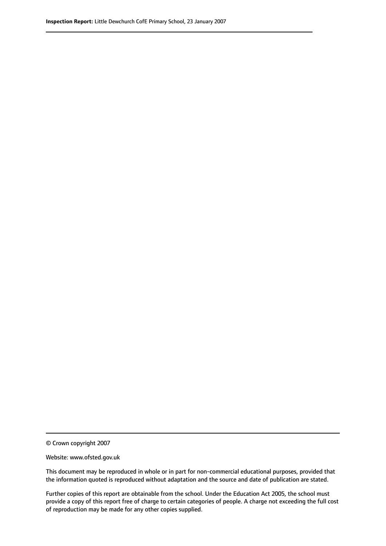© Crown copyright 2007

Website: www.ofsted.gov.uk

This document may be reproduced in whole or in part for non-commercial educational purposes, provided that the information quoted is reproduced without adaptation and the source and date of publication are stated.

Further copies of this report are obtainable from the school. Under the Education Act 2005, the school must provide a copy of this report free of charge to certain categories of people. A charge not exceeding the full cost of reproduction may be made for any other copies supplied.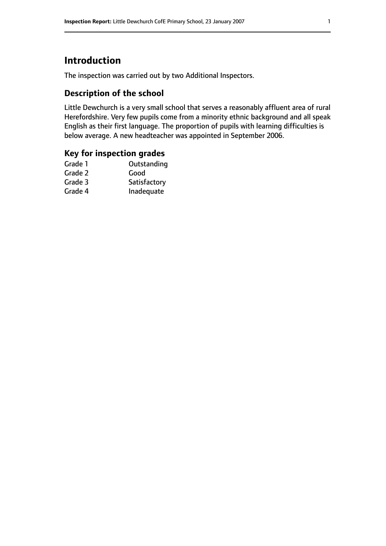# **Introduction**

The inspection was carried out by two Additional Inspectors.

## **Description of the school**

Little Dewchurch is a very small school that serves a reasonably affluent area of rural Herefordshire. Very few pupils come from a minority ethnic background and all speak English as their first language. The proportion of pupils with learning difficulties is below average. A new headteacher was appointed in September 2006.

## **Key for inspection grades**

| Outstanding  |
|--------------|
| Good         |
| Satisfactory |
| Inadequate   |
|              |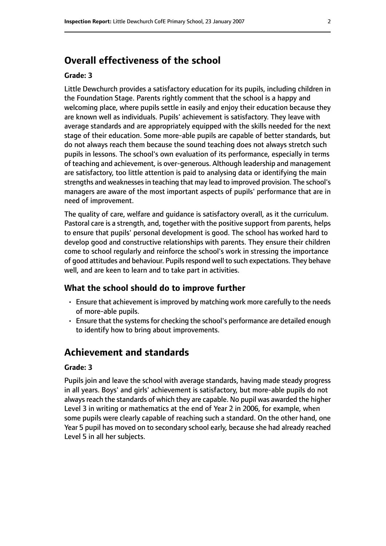# **Overall effectiveness of the school**

#### **Grade: 3**

Little Dewchurch provides a satisfactory education for its pupils, including children in the Foundation Stage. Parents rightly comment that the school is a happy and welcoming place, where pupils settle in easily and enjoy their education because they are known well as individuals. Pupils' achievement is satisfactory. They leave with average standards and are appropriately equipped with the skills needed for the next stage of their education. Some more-able pupils are capable of better standards, but do not always reach them because the sound teaching does not always stretch such pupils in lessons. The school's own evaluation of its performance, especially in terms of teaching and achievement, is over-generous. Although leadership and management are satisfactory, too little attention is paid to analysing data or identifying the main strengths and weaknesses in teaching that may lead to improved provision. The school's managers are aware of the most important aspects of pupils' performance that are in need of improvement.

The quality of care, welfare and guidance is satisfactory overall, as it the curriculum. Pastoral care is a strength, and, together with the positive support from parents, helps to ensure that pupils' personal development is good. The school has worked hard to develop good and constructive relationships with parents. They ensure their children come to school regularly and reinforce the school's work in stressing the importance of good attitudes and behaviour. Pupils respond well to such expectations. They behave well, and are keen to learn and to take part in activities.

#### **What the school should do to improve further**

- Ensure that achievement is improved by matching work more carefully to the needs of more-able pupils.
- Ensure that the systems for checking the school's performance are detailed enough to identify how to bring about improvements.

# **Achievement and standards**

#### **Grade: 3**

Pupils join and leave the school with average standards, having made steady progress in all years. Boys' and girls' achievement is satisfactory, but more-able pupils do not always reach the standards of which they are capable. No pupil was awarded the higher Level 3 in writing or mathematics at the end of Year 2 in 2006, for example, when some pupils were clearly capable of reaching such a standard. On the other hand, one Year 5 pupil has moved on to secondary school early, because she had already reached Level 5 in all her subjects.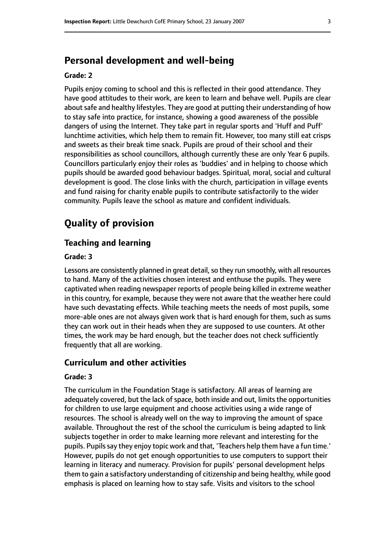# **Personal development and well-being**

#### **Grade: 2**

Pupils enjoy coming to school and this is reflected in their good attendance. They have good attitudes to their work, are keen to learn and behave well. Pupils are clear about safe and healthy lifestyles. They are good at putting their understanding of how to stay safe into practice, for instance, showing a good awareness of the possible dangers of using the Internet. They take part in regular sports and 'Huff and Puff' lunchtime activities, which help them to remain fit. However, too many still eat crisps and sweets as their break time snack. Pupils are proud of their school and their responsibilities as school councillors, although currently these are only Year 6 pupils. Councillors particularly enjoy their roles as 'buddies' and in helping to choose which pupils should be awarded good behaviour badges. Spiritual, moral, social and cultural development is good. The close links with the church, participation in village events and fund raising for charity enable pupils to contribute satisfactorily to the wider community. Pupils leave the school as mature and confident individuals.

# **Quality of provision**

#### **Teaching and learning**

#### **Grade: 3**

Lessons are consistently planned in great detail, so they run smoothly, with all resources to hand. Many of the activities chosen interest and enthuse the pupils. They were captivated when reading newspaper reports of people being killed in extreme weather in this country, for example, because they were not aware that the weather here could have such devastating effects. While teaching meets the needs of most pupils, some more-able ones are not always given work that is hard enough for them, such as sums they can work out in their heads when they are supposed to use counters. At other times, the work may be hard enough, but the teacher does not check sufficiently frequently that all are working.

### **Curriculum and other activities**

#### **Grade: 3**

The curriculum in the Foundation Stage is satisfactory. All areas of learning are adequately covered, but the lack of space, both inside and out, limits the opportunities for children to use large equipment and choose activities using a wide range of resources. The school is already well on the way to improving the amount of space available. Throughout the rest of the school the curriculum is being adapted to link subjects together in order to make learning more relevant and interesting for the pupils. Pupils say they enjoy topic work and that, 'Teachers help them have a fun time.' However, pupils do not get enough opportunities to use computers to support their learning in literacy and numeracy. Provision for pupils' personal development helps them to gain a satisfactory understanding of citizenship and being healthy, while good emphasis is placed on learning how to stay safe. Visits and visitors to the school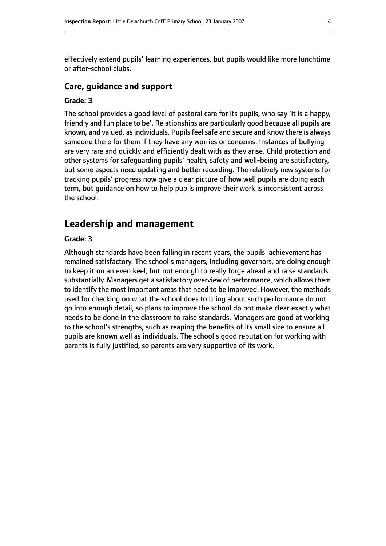effectively extend pupils' learning experiences, but pupils would like more lunchtime or after-school clubs.

#### **Care, guidance and support**

#### **Grade: 3**

The school provides a good level of pastoral care for its pupils, who say 'it is a happy, friendly and fun place to be'. Relationships are particularly good because all pupils are known, and valued, as individuals. Pupils feel safe and secure and know there is always someone there for them if they have any worries or concerns. Instances of bullying are very rare and quickly and efficiently dealt with as they arise. Child protection and other systems for safeguarding pupils' health, safety and well-being are satisfactory, but some aspects need updating and better recording. The relatively new systems for tracking pupils' progress now give a clear picture of how well pupils are doing each term, but guidance on how to help pupils improve their work is inconsistent across the school.

# **Leadership and management**

#### **Grade: 3**

Although standards have been falling in recent years, the pupils' achievement has remained satisfactory. The school's managers, including governors, are doing enough to keep it on an even keel, but not enough to really forge ahead and raise standards substantially. Managers get a satisfactory overview of performance, which allows them to identify the most important areas that need to be improved. However, the methods used for checking on what the school does to bring about such performance do not go into enough detail, so plans to improve the school do not make clear exactly what needs to be done in the classroom to raise standards. Managers are good at working to the school's strengths, such as reaping the benefits of its small size to ensure all pupils are known well as individuals. The school's good reputation for working with parents is fully justified, so parents are very supportive of its work.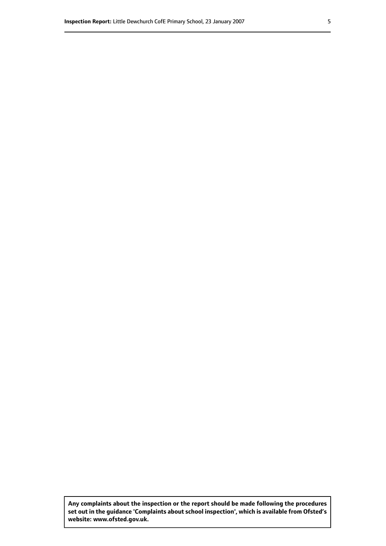**Any complaints about the inspection or the report should be made following the procedures set out inthe guidance 'Complaints about school inspection', whichis available from Ofsted's website: www.ofsted.gov.uk.**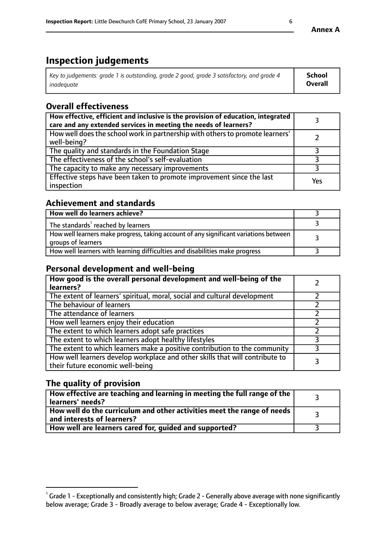# **Inspection judgements**

| Key to judgements: grade 1 is outstanding, grade 2 good, grade 3 satisfactory, and grade 4 | <b>School</b>  |
|--------------------------------------------------------------------------------------------|----------------|
| inadeauate                                                                                 | <b>Overall</b> |

# **Overall effectiveness**

| How effective, efficient and inclusive is the provision of education, integrated<br>care and any extended services in meeting the needs of learners? |     |
|------------------------------------------------------------------------------------------------------------------------------------------------------|-----|
| How well does the school work in partnership with others to promote learners'<br>well-being?                                                         |     |
| The quality and standards in the Foundation Stage                                                                                                    |     |
| The effectiveness of the school's self-evaluation                                                                                                    |     |
| The capacity to make any necessary improvements                                                                                                      |     |
| Effective steps have been taken to promote improvement since the last<br>inspection                                                                  | Yes |

## **Achievement and standards**

| How well do learners achieve?                                                                               |  |
|-------------------------------------------------------------------------------------------------------------|--|
| The standards <sup>1</sup> reached by learners                                                              |  |
| How well learners make progress, taking account of any significant variations between<br>groups of learners |  |
| How well learners with learning difficulties and disabilities make progress                                 |  |

## **Personal development and well-being**

| How good is the overall personal development and well-being of the<br>learners?                                  |  |
|------------------------------------------------------------------------------------------------------------------|--|
| The extent of learners' spiritual, moral, social and cultural development                                        |  |
| The behaviour of learners                                                                                        |  |
| The attendance of learners                                                                                       |  |
| How well learners enjoy their education                                                                          |  |
| The extent to which learners adopt safe practices                                                                |  |
| The extent to which learners adopt healthy lifestyles                                                            |  |
| The extent to which learners make a positive contribution to the community                                       |  |
| How well learners develop workplace and other skills that will contribute to<br>their future economic well-being |  |

# **The quality of provision**

| $\Box$ How effective are teaching and learning in meeting the full range of the $\Box$<br>  learners' needs?        |  |
|---------------------------------------------------------------------------------------------------------------------|--|
| $\mid$ How well do the curriculum and other activities meet the range of needs<br>$\mid$ and interests of learners? |  |
| How well are learners cared for, guided and supported?                                                              |  |

 $^1$  Grade 1 - Exceptionally and consistently high; Grade 2 - Generally above average with none significantly below average; Grade 3 - Broadly average to below average; Grade 4 - Exceptionally low.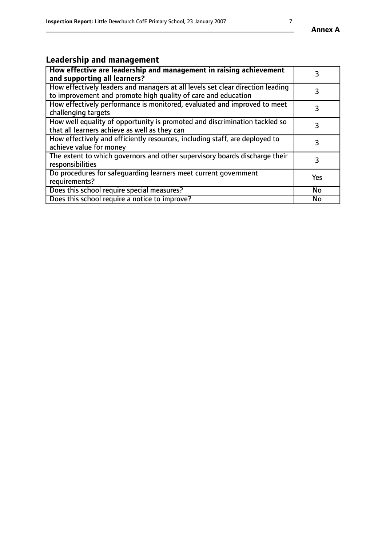# **Leadership and management**

| How effective are leadership and management in raising achievement<br>and supporting all learners?                                              |           |
|-------------------------------------------------------------------------------------------------------------------------------------------------|-----------|
| How effectively leaders and managers at all levels set clear direction leading<br>to improvement and promote high quality of care and education |           |
| How effectively performance is monitored, evaluated and improved to meet<br>challenging targets                                                 | 3         |
| How well equality of opportunity is promoted and discrimination tackled so<br>that all learners achieve as well as they can                     |           |
| How effectively and efficiently resources, including staff, are deployed to<br>achieve value for money                                          | 3         |
| The extent to which governors and other supervisory boards discharge their<br>responsibilities                                                  | 3         |
| Do procedures for safequarding learners meet current government<br>requirements?                                                                | Yes       |
| Does this school require special measures?                                                                                                      | No        |
| Does this school require a notice to improve?                                                                                                   | <b>No</b> |